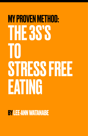# MY PROVEN METHOD: THE 3S'S TO STRESS FREE EATING

**BY LEE-ANN WATANABE**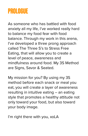### **PROLOGUE**

As someone who has battled with food anxiety all my life, I've worked really hard to balance my food fear with food balance. Through my work in this arena, I've developed a three prong approach called The Three S's to Stress Free Eating, that will allow you to create a level of peace, awareness and mindfulness around food. My 3S Method are Signs, Savor & Seated.

My mission for you? By using my 3S method before each snack or meal you eat, you will create a layer of awareness resulting in intuitive eating – an eating style that promotes a healthy attitude not only toward your food, but also toward your body image.

I'm right there with you, xoLA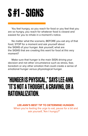## **S #1 – SIGNS**

You feel hungry, so you reach for food or you feel that you are so hungry, you reach for whatever food is closest and easiest for you to inhale in a moment's notice.

No matter what the scenario, BEFORE you eat any of that food, STOP for a moment and ask yourself about the SIGNS of your hunger. Ask yourself, what are the SIGNS that are creating this want for food at this very moment?

Make sure that hunger is the main SIGN driving your decision and not other circumstance such as stress, fear, boredom or any other emotion that could create a sense of emotional hunger versus physiological hunger.

### "HUNGER IS PHYSICAL," SAYS LEE-ANN. "IT'S NOT A THOUGHT, A CRAVING, OR A RATIONALIZATION.

#### **LEE-ANN'S BEST TIP TO DETERMINE HUNGER:**

When you're feeling the urge to eat, pause for a bit and ask yourself, "Am I hungry?"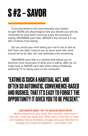## **S #2 – SAVOR**

If you preceded to this step whereby your body's hunger SIGNS are physiological and you decide you will eat, remember to slow down and truly enjoy the process of eating, SAVORING each bite. SAVOR is the second S in my 3S's of Stress Free Eating.

Do you recall your mom telling you not to eat so fast as kid? Sure she didn't instruct you to savor each bite, food morsel bit by bit. But, she was definitely onto something.

SAVORING each bite is a method that allows you to become more conscious of what your'e eating. After all, it's really hard to SAVOR each bite while eating mindlessly watching TV or doing work on the computer!

#### "EATING IS SUCH A HABITUAL ACT, AND OFTEN SO AUTOMATIC, CONVENIENCE-BASED AND RUSHED, THAT IT'S EASY TO FORGET THE OPPORTUNITY IT GIVES YOU TO BE PRESENT."

#### **LEE-ANN'S BEST TIP TO SAVOR EACH BITE:**

Really experience your food. Ask yourself, what does it look like, smell like, taste like? What does it feel like to chew and swallow? Allow emotions, images and your attention to change your mood at mealtime -- and relish it all.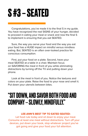## **S #3 – SEATED**

Congratulations, you've made it to the final S in my guide. You have recognized the real SIGNS of your hunger, decided to proceed in eating your meal or snack and now the final S to implement is ensuring that you eat SEATED.

Sure, the way you serve your food and the way you eat your food has a HUGE impact on mindful versus mindless eating. But, SEATED is an often over-looked practice for conscious consumption.

First, put your food on a plate. Second, have your meal SEATED at a table in a chair. Maintain focus on SAVORING the meal in front of you while eliminating distractions by turning off the TV and putting down your phone.

Look at the meal in front of you. Notice the textures and colors on your plate. Raise the food to your nose and smell it. Put down your utensils between bites.

### "SIT DOWN, AND SAVOR BOTH FOOD AND COMPANY -- SLOWLY, MINDFULLY."

#### **LEE-ANN'S BEST TIP TO EATED SEATED:**

Let food rule today and sit down to enjoy your meal. Consume at least one meal without distractions. Turn off your devices, put down your book, stop whatever project you've got going and give your food your full attention.